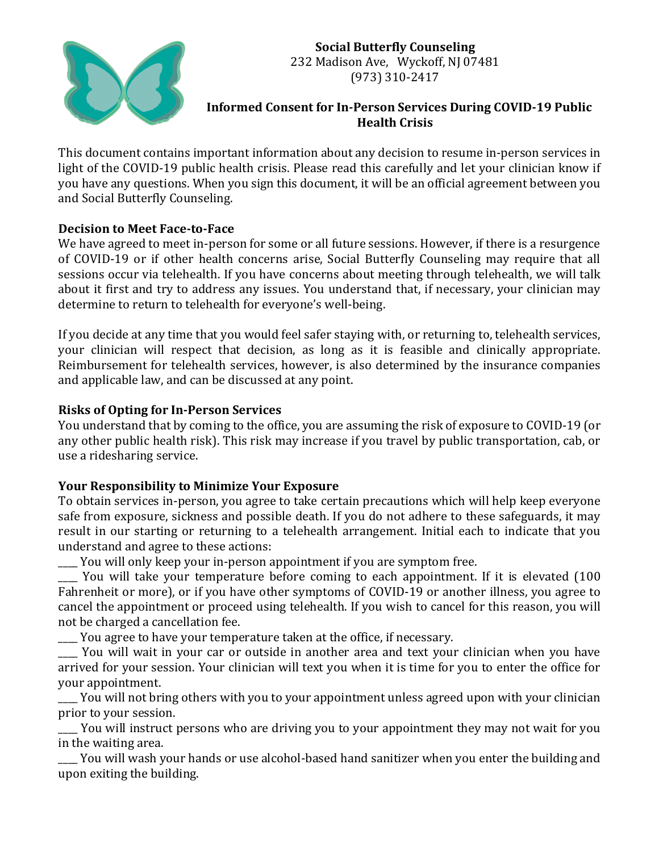

# **Social Butterfly Counseling** 232 Madison Ave, Wyckoff, NJ 07481 (973) 310-2417

### **Informed Consent for In-Person Services During COVID-19 Public Health Crisis**

This document contains important information about any decision to resume in-person services in light of the COVID-19 public health crisis. Please read this carefully and let your clinician know if you have any questions. When you sign this document, it will be an official agreement between you and Social Butterfly Counseling.

## **Decision to Meet Face-to-Face**

We have agreed to meet in-person for some or all future sessions. However, if there is a resurgence of COVID-19 or if other health concerns arise, Social Butterfly Counseling may require that all sessions occur via telehealth. If you have concerns about meeting through telehealth, we will talk about it first and try to address any issues. You understand that, if necessary, your clinician may determine to return to telehealth for everyone's well-being.

If you decide at any time that you would feel safer staying with, or returning to, telehealth services, your clinician will respect that decision, as long as it is feasible and clinically appropriate. Reimbursement for telehealth services, however, is also determined by the insurance companies and applicable law, and can be discussed at any point.

## **Risks of Opting for In-Person Services**

You understand that by coming to the office, you are assuming the risk of exposure to COVID-19 (or any other public health risk). This risk may increase if you travel by public transportation, cab, or use a ridesharing service.

# **Your Responsibility to Minimize Your Exposure**

To obtain services in-person, you agree to take certain precautions which will help keep everyone safe from exposure, sickness and possible death. If you do not adhere to these safeguards, it may result in our starting or returning to a telehealth arrangement. Initial each to indicate that you understand and agree to these actions:

\_\_\_\_ You will only keep your in-person appointment if you are symptom free.

\_\_\_\_ You will take your temperature before coming to each appointment. If it is elevated (100 Fahrenheit or more), or if you have other symptoms of COVID-19 or another illness, you agree to cancel the appointment or proceed using telehealth. If you wish to cancel for this reason, you will not be charged a cancellation fee. 

\_\_\_\_ You agree to have your temperature taken at the office, if necessary.

\_\_\_\_ You will wait in your car or outside in another area and text your clinician when you have arrived for your session. Your clinician will text you when it is time for you to enter the office for your appointment.

You will not bring others with you to your appointment unless agreed upon with your clinician prior to your session.

You will instruct persons who are driving you to your appointment they may not wait for you in the waiting area. 

You will wash your hands or use alcohol-based hand sanitizer when you enter the building and upon exiting the building.